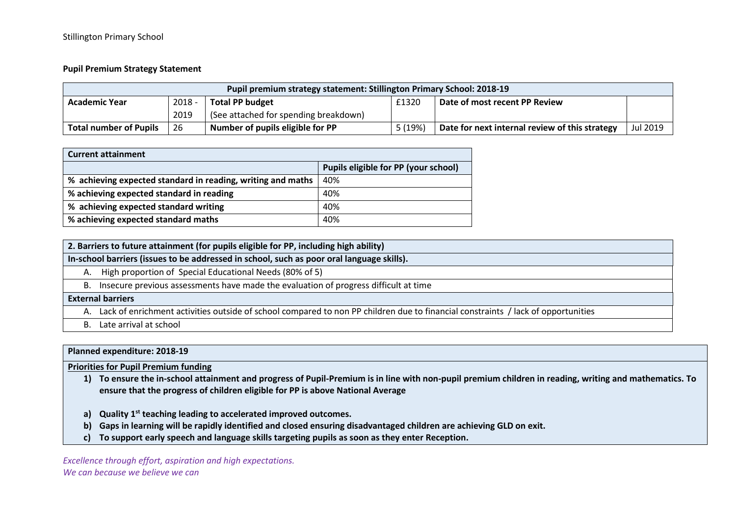## **Pupil Premium Strategy Statement**

| Pupil premium strategy statement: Stillington Primary School: 2018-19 |      |                                       |                               |                                                |          |  |
|-----------------------------------------------------------------------|------|---------------------------------------|-------------------------------|------------------------------------------------|----------|--|
| $2018 -$<br><b>Total PP budget</b><br><b>Academic Year</b>            |      | £1320                                 | Date of most recent PP Review |                                                |          |  |
|                                                                       | 2019 | (See attached for spending breakdown) |                               |                                                |          |  |
| <b>Total number of Pupils</b>                                         | 26   | Number of pupils eligible for PP      | 5(19%)                        | Date for next internal review of this strategy | Jul 2019 |  |

| <b>Current attainment</b>                                   |                                      |  |  |  |
|-------------------------------------------------------------|--------------------------------------|--|--|--|
|                                                             | Pupils eligible for PP (your school) |  |  |  |
| % achieving expected standard in reading, writing and maths | 40%                                  |  |  |  |
| % achieving expected standard in reading                    | 40%                                  |  |  |  |
| % achieving expected standard writing                       | 40%                                  |  |  |  |
| % achieving expected standard maths                         | 40%                                  |  |  |  |

| 2. Barriers to future attainment (for pupils eligible for PP, including high ability) |  |  |  |
|---------------------------------------------------------------------------------------|--|--|--|
|---------------------------------------------------------------------------------------|--|--|--|

**In-school barriers (issues to be addressed in school, such as poor oral language skills).** 

- A. High proportion of Special Educational Needs (80% of 5)
- B. Insecure previous assessments have made the evaluation of progress difficult at time

## **External barriers**

A. Lack of enrichment activities outside of school compared to non PP children due to financial constraints / lack of opportunities

B. Late arrival at school

## **Planned expenditure: 2018-19**

**Priorities for Pupil Premium funding**

- **1) To ensure the in-school attainment and progress of Pupil-Premium is in line with non-pupil premium children in reading, writing and mathematics. To ensure that the progress of children eligible for PP is above National Average**
- **a) Quality 1st teaching leading to accelerated improved outcomes.**
- **b) Gaps in learning will be rapidly identified and closed ensuring disadvantaged children are achieving GLD on exit.**
- **c) To support early speech and language skills targeting pupils as soon as they enter Reception.**

*Excellence through effort, aspiration and high expectations. We can because we believe we can*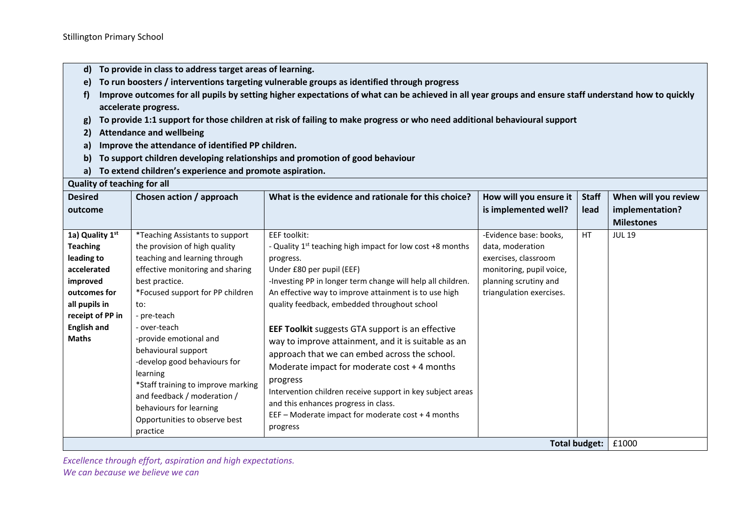- **d) To provide in class to address target areas of learning.**
- **e) To run boosters / interventions targeting vulnerable groups as identified through progress**
- **f) Improve outcomes for all pupils by setting higher expectations of what can be achieved in all year groups and ensure staff understand how to quickly accelerate progress.**
- **g) To provide 1:1 support for those children at risk of failing to make progress or who need additional behavioural support**
- **2) Attendance and wellbeing**
- **a) Improve the attendance of identified PP children.**
- **b) To support children developing relationships and promotion of good behaviour**
- **a) To extend children's experience and promote aspiration.**

## **Quality of teaching for all**

| <b>Desired</b>                                                                                                                                                         | Chosen action / approach                                                                                                                                                                                                                                                                                                                                                                                                                                                    | What is the evidence and rationale for this choice?                                                                                                                                                                                                                                                                                                                                                                                                                                                                                                                                                                                                                                                              | How will you ensure it                                                                                                                              | <b>Staff</b> | When will you review |
|------------------------------------------------------------------------------------------------------------------------------------------------------------------------|-----------------------------------------------------------------------------------------------------------------------------------------------------------------------------------------------------------------------------------------------------------------------------------------------------------------------------------------------------------------------------------------------------------------------------------------------------------------------------|------------------------------------------------------------------------------------------------------------------------------------------------------------------------------------------------------------------------------------------------------------------------------------------------------------------------------------------------------------------------------------------------------------------------------------------------------------------------------------------------------------------------------------------------------------------------------------------------------------------------------------------------------------------------------------------------------------------|-----------------------------------------------------------------------------------------------------------------------------------------------------|--------------|----------------------|
| outcome                                                                                                                                                                |                                                                                                                                                                                                                                                                                                                                                                                                                                                                             |                                                                                                                                                                                                                                                                                                                                                                                                                                                                                                                                                                                                                                                                                                                  | is implemented well?                                                                                                                                | lead         | implementation?      |
|                                                                                                                                                                        |                                                                                                                                                                                                                                                                                                                                                                                                                                                                             |                                                                                                                                                                                                                                                                                                                                                                                                                                                                                                                                                                                                                                                                                                                  |                                                                                                                                                     |              | <b>Milestones</b>    |
| 1a) Quality 1st<br><b>Teaching</b><br>leading to<br>accelerated<br>improved<br>outcomes for<br>all pupils in<br>receipt of PP in<br><b>English and</b><br><b>Maths</b> | *Teaching Assistants to support<br>the provision of high quality<br>teaching and learning through<br>effective monitoring and sharing<br>best practice.<br>*Focused support for PP children<br>to:<br>- pre-teach<br>- over-teach<br>-provide emotional and<br>behavioural support<br>-develop good behaviours for<br>learning<br>*Staff training to improve marking<br>and feedback / moderation /<br>behaviours for learning<br>Opportunities to observe best<br>practice | EEF toolkit:<br>- Quality 1 <sup>st</sup> teaching high impact for low cost +8 months<br>progress.<br>Under £80 per pupil (EEF)<br>-Investing PP in longer term change will help all children.<br>An effective way to improve attainment is to use high<br>quality feedback, embedded throughout school<br><b>EEF Toolkit</b> suggests GTA support is an effective<br>way to improve attainment, and it is suitable as an<br>approach that we can embed across the school.<br>Moderate impact for moderate $cost + 4$ months<br>progress<br>Intervention children receive support in key subject areas<br>and this enhances progress in class.<br>EEF - Moderate impact for moderate cost + 4 months<br>progress | -Evidence base: books,<br>data, moderation<br>exercises, classroom<br>monitoring, pupil voice,<br>planning scrutiny and<br>triangulation exercises. | HT           | <b>JUL 19</b>        |
| <b>Total budget:</b>                                                                                                                                                   |                                                                                                                                                                                                                                                                                                                                                                                                                                                                             |                                                                                                                                                                                                                                                                                                                                                                                                                                                                                                                                                                                                                                                                                                                  |                                                                                                                                                     |              |                      |

*Excellence through effort, aspiration and high expectations. We can because we believe we can*